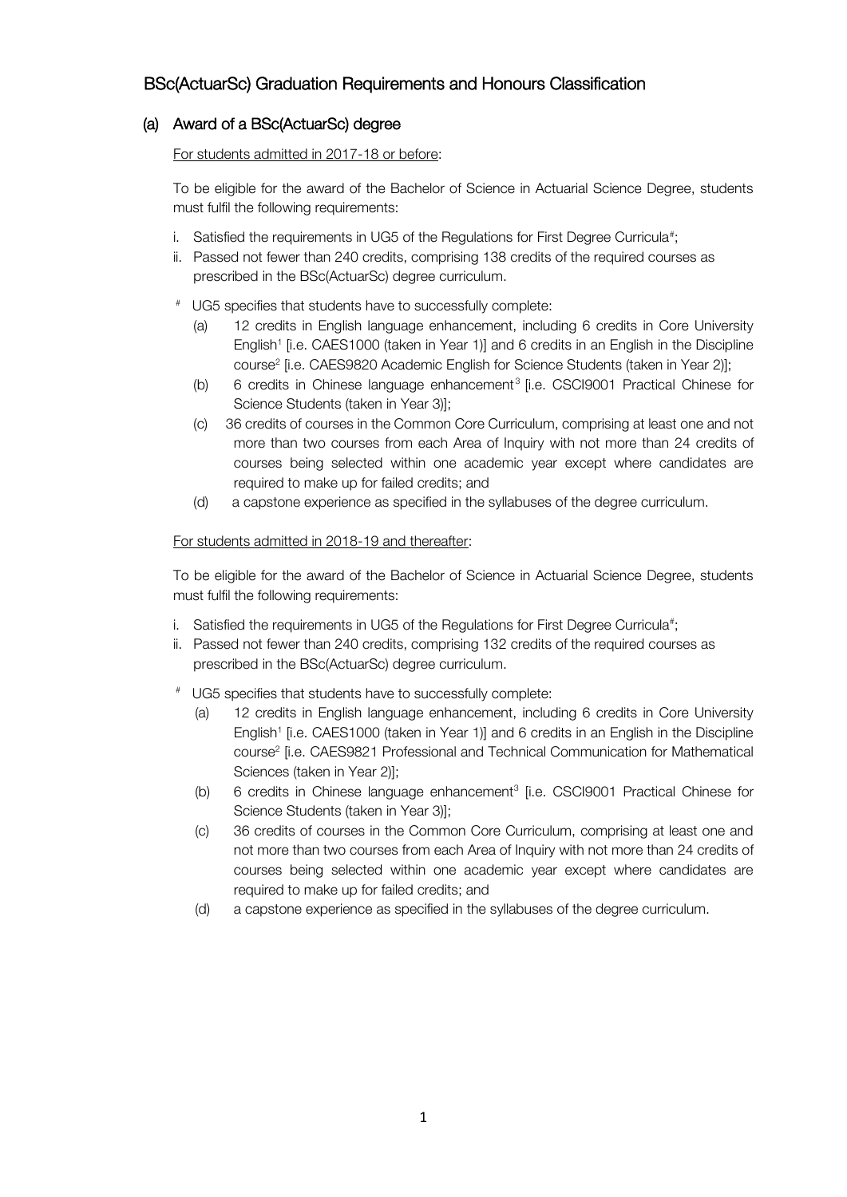## BSc(ActuarSc) Graduation Requirements and Honours Classification

## (a) Award of a BSc(ActuarSc) degree

For students admitted in 2017-18 or before:

To be eligible for the award of the Bachelor of Science in Actuarial Science Degree, students must fulfil the following requirements:

- i.  $\,$  Satisfied the requirements in UG5 of the Regulations for First Degree Curricula#;
- ii. Passed not fewer than 240 credits, comprising 138 credits of the required courses as prescribed in the BSc(ActuarSc) degree curriculum.
- # UG5 specifies that students have to successfully complete:
	- (a) 12 credits in English language enhancement, including 6 credits in Core University English<sup>1</sup> [i.e. CAES1000 (taken in Year 1)] and 6 credits in an English in the Discipline course<sup>2</sup> [i.e. CAES9820 Academic English for Science Students (taken in Year 2)];
	- (b) 6 credits in Chinese language enhancement<sup>3</sup> [i.e. CSCI9001 Practical Chinese for Science Students (taken in Year 3)];
	- (c) 36 credits of courses in the Common Core Curriculum, comprising at least one and not more than two courses from each Area of Inquiry with not more than 24 credits of courses being selected within one academic year except where candidates are required to make up for failed credits; and
	- (d) a capstone experience as specified in the syllabuses of the degree curriculum.

## For students admitted in 2018-19 and thereafter:

To be eligible for the award of the Bachelor of Science in Actuarial Science Degree, students must fulfil the following requirements:

- i. Satisfied the requirements in UG5 of the Regulations for First Degree Curricula#;
- ii. Passed not fewer than 240 credits, comprising 132 credits of the required courses as prescribed in the BSc(ActuarSc) degree curriculum.
- # UG5 specifies that students have to successfully complete:
	- (a) 12 credits in English language enhancement, including 6 credits in Core University English<sup>1</sup> [i.e. CAES1000 (taken in Year 1)] and 6 credits in an English in the Discipline course<sup>2</sup> [i.e. CAES9821 Professional and Technical Communication for Mathematical Sciences (taken in Year 2)];
	- (b) 6 credits in Chinese language enhancement<sup>3</sup> [i.e. CSCI9001 Practical Chinese for Science Students (taken in Year 3)];
	- (c) 36 credits of courses in the Common Core Curriculum, comprising at least one and not more than two courses from each Area of Inquiry with not more than 24 credits of courses being selected within one academic year except where candidates are required to make up for failed credits; and
	- (d) a capstone experience as specified in the syllabuses of the degree curriculum.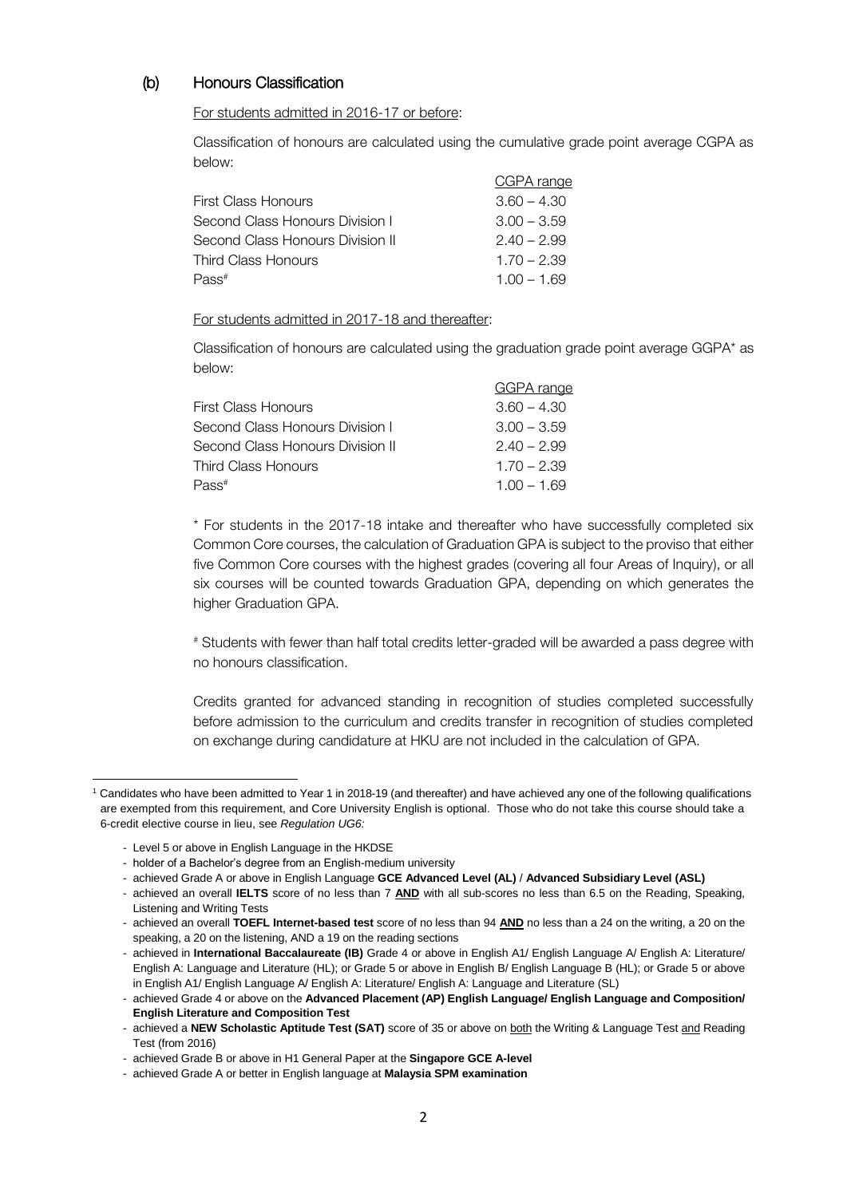## (b) Honours Classification

For students admitted in 2016-17 or before:

Classification of honours are calculated using the cumulative grade point average CGPA as below:

|                                  | CGPA range    |
|----------------------------------|---------------|
| First Class Honours              | $3.60 - 4.30$ |
| Second Class Honours Division I  | $3.00 - 3.59$ |
| Second Class Honours Division II | $2.40 - 2.99$ |
| Third Class Honours              | $1.70 - 2.39$ |
| $P$ ass <sup>#</sup>             | $1.00 - 1.69$ |

For students admitted in 2017-18 and thereafter:

Classification of honours are calculated using the graduation grade point average GGPA\* as below:

|                                  | <b>GGPA</b> range |
|----------------------------------|-------------------|
| First Class Honours              | $3.60 - 4.30$     |
| Second Class Honours Division I  | $3.00 - 3.59$     |
| Second Class Honours Division II | $2.40 - 2.99$     |
| Third Class Honours              | $1.70 - 2.39$     |
| Pass#                            | $1.00 - 1.69$     |

\* For students in the 2017-18 intake and thereafter who have successfully completed six Common Core courses, the calculation of Graduation GPA is subject to the proviso that either five Common Core courses with the highest grades (covering all four Areas of Inquiry), or all six courses will be counted towards Graduation GPA, depending on which generates the higher Graduation GPA.

# Students with fewer than half total credits letter-graded will be awarded a pass degree with no honours classification.

Credits granted for advanced standing in recognition of studies completed successfully before admission to the curriculum and credits transfer in recognition of studies completed on exchange during candidature at HKU are not included in the calculation of GPA.

 $\ddot{\phantom{a}}$ 

<sup>1</sup> Candidates who have been admitted to Year 1 in 2018-19 (and thereafter) and have achieved any one of the following qualifications are exempted from this requirement, and Core University English is optional. Those who do not take this course should take a 6-credit elective course in lieu, see *Regulation UG6:*

<sup>-</sup> Level 5 or above in English Language in the HKDSE

<sup>-</sup> holder of a Bachelor's degree from an English-medium university

<sup>-</sup> achieved Grade A or above in English Language **GCE Advanced Level (AL)** / **Advanced Subsidiary Level (ASL)**

<sup>-</sup> achieved an overall **IELTS** score of no less than 7 **AND** with all sub-scores no less than 6.5 on the Reading, Speaking, Listening and Writing Tests

<sup>-</sup> achieved an overall **TOEFL Internet-based test** score of no less than 94 **AND** no less than a 24 on the writing, a 20 on the speaking, a 20 on the listening, AND a 19 on the reading sections

<sup>-</sup> achieved in **International Baccalaureate (IB)** Grade 4 or above in English A1/ English Language A/ English A: Literature/ English A: Language and Literature (HL); or Grade 5 or above in English B/ English Language B (HL); or Grade 5 or above in English A1/ English Language A/ English A: Literature/ English A: Language and Literature (SL)

<sup>-</sup> achieved Grade 4 or above on the **Advanced Placement (AP) English Language/ English Language and Composition/ English Literature and Composition Test**

<sup>-</sup> achieved a **NEW Scholastic Aptitude Test (SAT)** score of 35 or above on both the Writing & Language Test and Reading Test (from 2016)

<sup>-</sup> achieved Grade B or above in H1 General Paper at the **Singapore GCE A-level**

<sup>-</sup> achieved Grade A or better in English language at **Malaysia SPM examination**